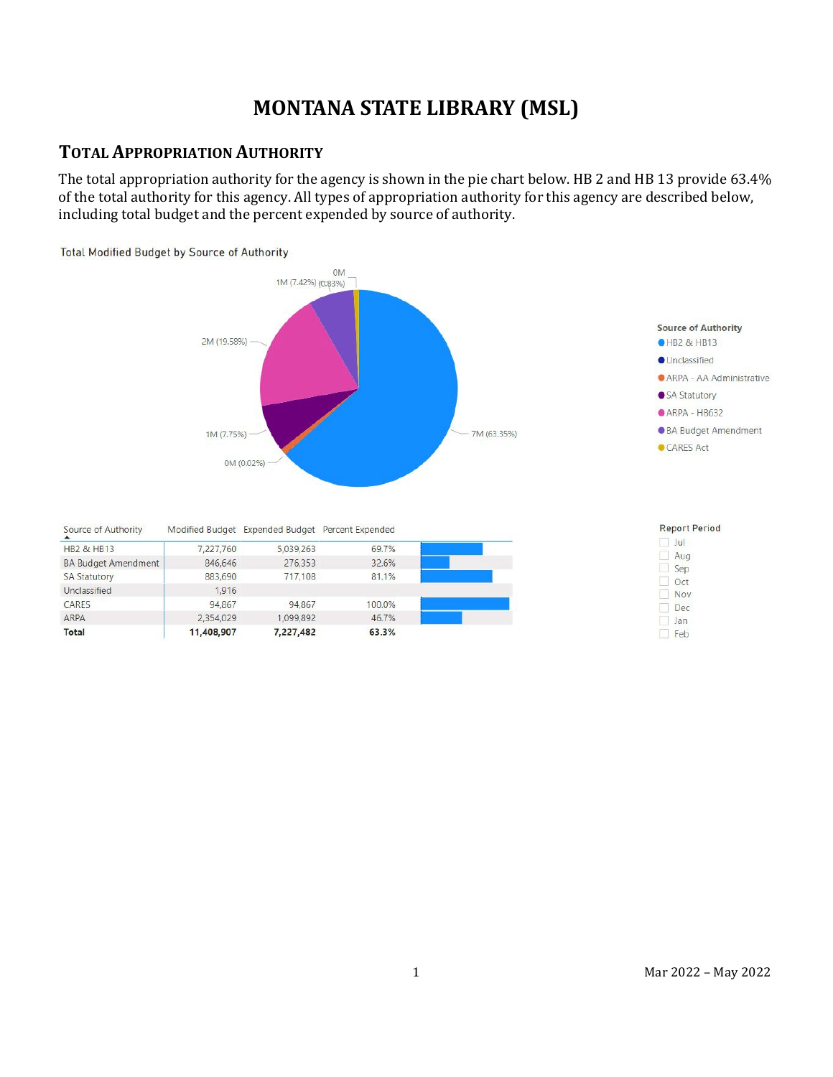# **MONTANA STATE LIBRARY (MSL)**

## **TOTAL APPROPRIATION AUTHORITY**

The total appropriation authority for the agency is shown in the pie chart below. HB 2 and HB 13 provide 63.4% of the total authority for this agency. All types of appropriation authority for this agency are described below, including total budget and the percent expended by source of authority.

Total Modified Budget by Source of Authority

CARES

ARPA

**Total** 



 $\Box$  Feb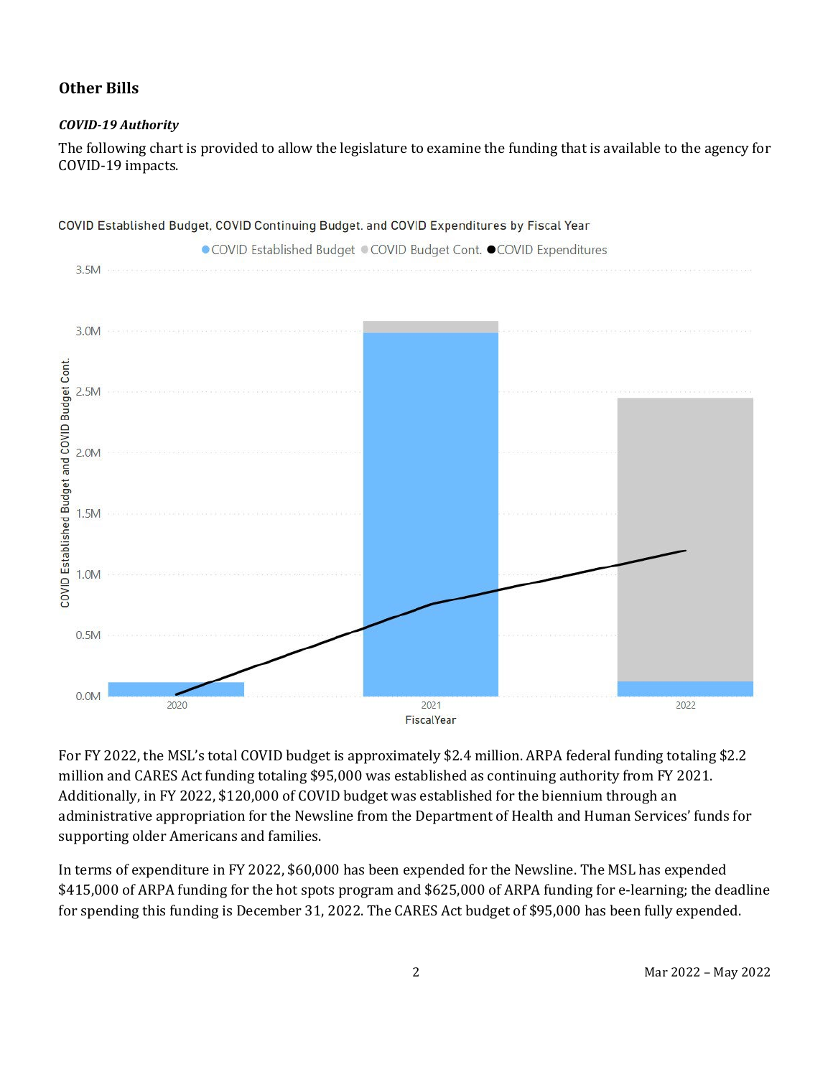### **Other Bills**

#### *COVID-19 Authority*

The following chart is provided to allow the legislature to examine the funding that is available to the agency for COVID-19 impacts.



For FY 2022, the MSL's total COVID budget is approximately \$2.4 million. ARPA federal funding totaling \$2.2 million and CARES Act funding totaling \$95,000 was established as continuing authority from FY 2021. Additionally, in FY 2022, \$120,000 of COVID budget was established for the biennium through an administrative appropriation for the Newsline from the Department of Health and Human Services' funds for supporting older Americans and families.

In terms of expenditure in FY 2022, \$60,000 has been expended for the Newsline. The MSL has expended \$415,000 of ARPA funding for the hot spots program and \$625,000 of ARPA funding for e-learning; the deadline for spending this funding is December 31, 2022. The CARES Act budget of \$95,000 has been fully expended.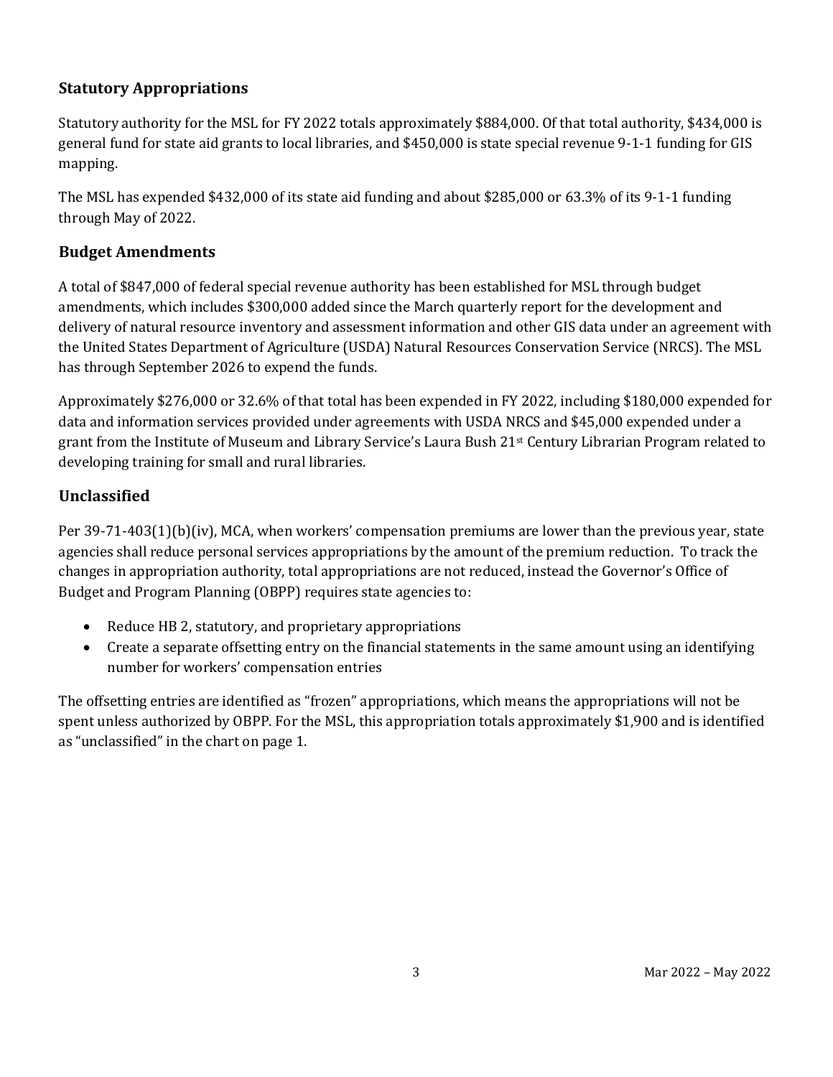### **Statutory Appropriations**

Statutory authority for the MSL for FY 2022 totals approximately \$884,000. Of that total authority, \$434,000 is general fund for state aid grants to local libraries, and \$450,000 is state special revenue 9-1-1 funding for GIS mapping.

The MSL has expended \$432,000 of its state aid funding and about \$285,000 or 63.3% of its 9-1-1 funding through May of 2022.

#### **Budget Amendments**

A total of \$847,000 of federal special revenue authority has been established for MSL through budget amendments, which includes \$300,000 added since the March quarterly report for the development and delivery of natural resource inventory and assessment information and other GIS data under an agreement with the United States Department of Agriculture (USDA) Natural Resources Conservation Service (NRCS). The MSL has through September 2026 to expend the funds.

Approximately \$276,000 or 32.6% of that total has been expended in FY 2022, including \$180,000 expended for data and information services provided under agreements with USDA NRCS and \$45,000 expended under a grant from the Institute of Museum and Library Service's Laura Bush 21st Century Librarian Program related to developing training for small and rural libraries.

### **Unclassified**

Per 39-71-403(1)(b)(iv), MCA, when workers' compensation premiums are lower than the previous year, state agencies shall reduce personal services appropriations by the amount of the premium reduction. To track the changes in appropriation authority, total appropriations are not reduced, instead the Governor's Office of Budget and Program Planning (OBPP) requires state agencies to:

- Reduce HB 2, statutory, and proprietary appropriations
- Create a separate offsetting entry on the financial statements in the same amount using an identifying number for workers' compensation entries

The offsetting entries are identified as "frozen" appropriations, which means the appropriations will not be spent unless authorized by OBPP. For the MSL, this appropriation totals approximately \$1,900 and is identified as "unclassified" in the chart on page 1.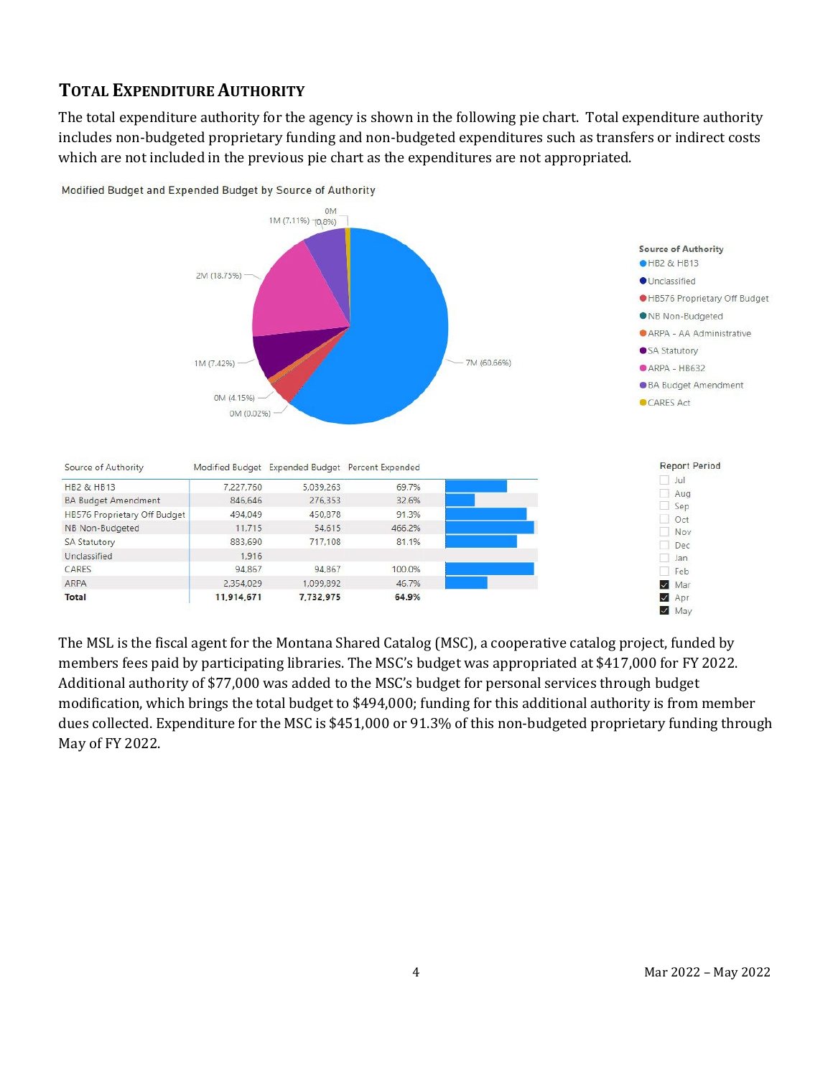## **TOTAL EXPENDITURE AUTHORITY**

ARPA

Total

The total expenditure authority for the agency is shown in the following pie chart. Total expenditure authority includes non-budgeted proprietary funding and non-budgeted expenditures such as transfers or indirect costs which are not included in the previous pie chart as the expenditures are not appropriated.



Modified Budget and Expended Budget by Source of Authority

The MSL is the fiscal agent for the Montana Shared Catalog (MSC), a cooperative catalog project, funded by members fees paid by participating libraries. The MSC's budget was appropriated at \$417,000 for FY 2022. Additional authority of \$77,000 was added to the MSC's budget for personal services through budget modification, which brings the total budget to \$494,000; funding for this additional authority is from member dues collected. Expenditure for the MSC is \$451,000 or 91.3% of this non-budgeted proprietary funding through May of FY 2022.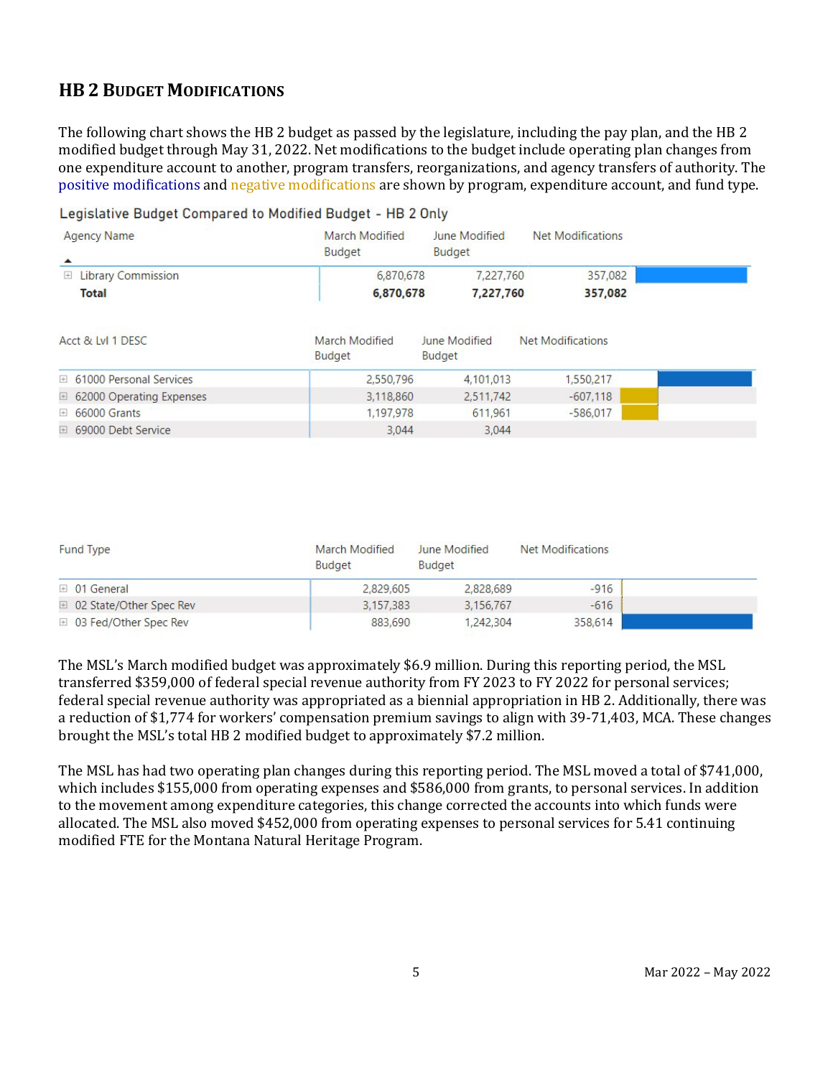## **HB 2 BUDGET MODIFICATIONS**

The following chart shows the HB 2 budget as passed by the legislature, including the pay plan, and the HB 2 modified budget through May 31, 2022. Net modifications to the budget include operating plan changes from one expenditure account to another, program transfers, reorganizations, and agency transfers of authority. The positive modifications and negative modifications are shown by program, expenditure account, and fund type.

Legislative Budget Compared to Modified Budget - HB 2 Only

| <b>Agency Name</b>                               | March Modified<br><b>Budget</b> | June Modified<br><b>Budget</b> | Net Modifications        |  |
|--------------------------------------------------|---------------------------------|--------------------------------|--------------------------|--|
| <b>Library Commission</b><br>$+$<br><b>Total</b> | 6,870,678<br>6,870,678          | 7,227,760<br>7,227,760         | 357,082<br>357,082       |  |
| Acct & Lyl 1 DESC                                | March Modified<br><b>Budget</b> | June Modified<br><b>Budget</b> | <b>Net Modifications</b> |  |
| □ 61000 Personal Services                        | 2,550,796                       | 4,101,013                      | 1,550,217                |  |
| <b>E</b> 62000 Operating Expenses                | 3,118,860                       | 2,511,742                      | $-607.118$               |  |
| <b>E</b> 66000 Grants                            | 1,197,978                       | 611.961                        | $-586.017$               |  |
| □ 69000 Debt Service                             | 3.044                           | 3.044                          |                          |  |

| <b>Fund Type</b>          | March Modified<br><b>Budget</b> | June Modified<br><b>Budget</b> | Net Modifications |  |
|---------------------------|---------------------------------|--------------------------------|-------------------|--|
| $\boxplus$ 01 General     | 2,829,605                       | 2,828,689                      | $-916$            |  |
| □ 02 State/Other Spec Rev | 3.157.383                       | 3.156.767                      | $-616$            |  |
| □ 03 Fed/Other Spec Rev   | 883,690                         | 1,242,304                      | 358,614           |  |

The MSL's March modified budget was approximately \$6.9 million. During this reporting period, the MSL transferred \$359,000 of federal special revenue authority from FY 2023 to FY 2022 for personal services; federal special revenue authority was appropriated as a biennial appropriation in HB 2. Additionally, there was a reduction of \$1,774 for workers' compensation premium savings to align with 39-71,403, MCA. These changes brought the MSL's total HB 2 modified budget to approximately \$7.2 million.

The MSL has had two operating plan changes during this reporting period. The MSL moved a total of \$741,000, which includes \$155,000 from operating expenses and \$586,000 from grants, to personal services. In addition to the movement among expenditure categories, this change corrected the accounts into which funds were allocated. The MSL also moved \$452,000 from operating expenses to personal services for 5.41 continuing modified FTE for the Montana Natural Heritage Program.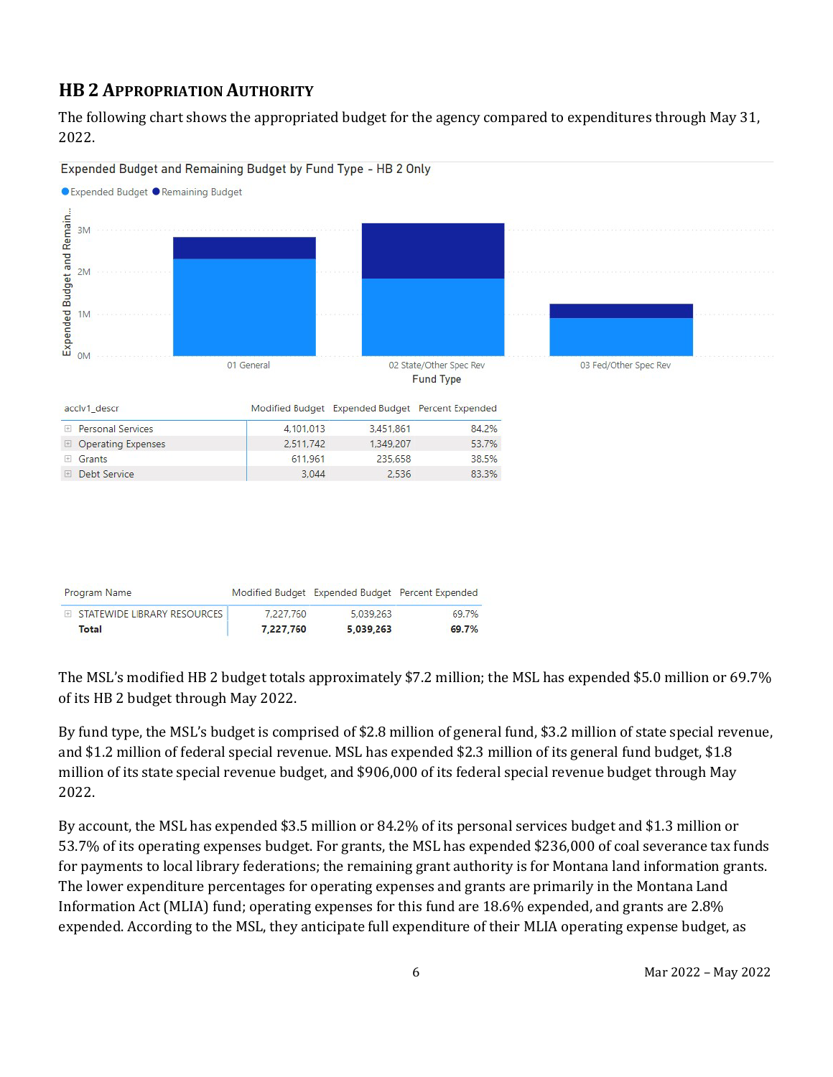## **HB 2 APPROPRIATION AUTHORITY**

The following chart shows the appropriated budget for the agency compared to expenditures through May 31, 2022.



Expended Budget and Remaining Budget by Fund Type - HB 2 Only

The MSL's modified HB 2 budget totals approximately \$7.2 million; the MSL has expended \$5.0 million or 69.7% of its HB 2 budget through May 2022.

By fund type, the MSL's budget is comprised of \$2.8 million of general fund, \$3.2 million of state special revenue, and \$1.2 million of federal special revenue. MSL has expended \$2.3 million of its general fund budget, \$1.8 million of its state special revenue budget, and \$906,000 of its federal special revenue budget through May 2022.

By account, the MSL has expended \$3.5 million or 84.2% of its personal services budget and \$1.3 million or 53.7% of its operating expenses budget. For grants, the MSL has expended \$236,000 of coal severance tax funds for payments to local library federations; the remaining grant authority is for Montana land information grants. The lower expenditure percentages for operating expenses and grants are primarily in the Montana Land Information Act (MLIA) fund; operating expenses for this fund are 18.6% expended, and grants are 2.8% expended. According to the MSL, they anticipate full expenditure of their MLIA operating expense budget, as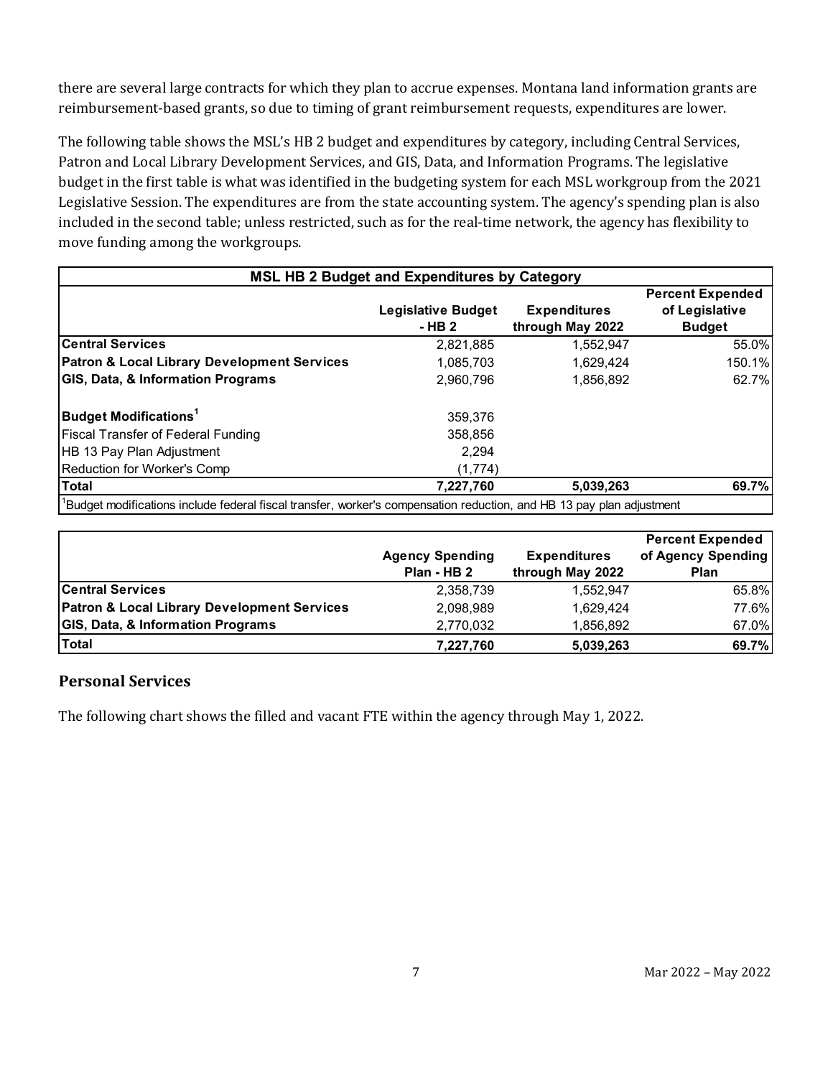there are several large contracts for which they plan to accrue expenses. Montana land information grants are reimbursement-based grants, so due to timing of grant reimbursement requests, expenditures are lower.

The following table shows the MSL's HB 2 budget and expenditures by category, including Central Services, Patron and Local Library Development Services, and GIS, Data, and Information Programs. The legislative budget in the first table is what was identified in the budgeting system for each MSL workgroup from the 2021 Legislative Session. The expenditures are from the state accounting system. The agency's spending plan is also included in the second table; unless restricted, such as for the real-time network, the agency has flexibility to move funding among the workgroups.

| <b>MSL HB 2 Budget and Expenditures by Category</b>                                                                   |                                     |                                         |                                                            |  |  |
|-----------------------------------------------------------------------------------------------------------------------|-------------------------------------|-----------------------------------------|------------------------------------------------------------|--|--|
|                                                                                                                       | <b>Legislative Budget</b><br>- HB 2 | <b>Expenditures</b><br>through May 2022 | <b>Percent Expended</b><br>of Legislative<br><b>Budget</b> |  |  |
| <b>Central Services</b>                                                                                               | 2,821,885                           | 1,552,947                               | 55.0%                                                      |  |  |
| <b>Patron &amp; Local Library Development Services</b>                                                                | 1,085,703                           | 1,629,424                               | 150.1%                                                     |  |  |
| <b>GIS, Data, &amp; Information Programs</b>                                                                          | 2,960,796                           | 1,856,892                               | 62.7%                                                      |  |  |
| <b>Budget Modifications<sup>1</sup></b>                                                                               | 359.376                             |                                         |                                                            |  |  |
| <b>Fiscal Transfer of Federal Funding</b>                                                                             | 358,856                             |                                         |                                                            |  |  |
| HB 13 Pay Plan Adjustment                                                                                             | 2,294                               |                                         |                                                            |  |  |
| Reduction for Worker's Comp                                                                                           | (1,774)                             |                                         |                                                            |  |  |
| <b>Total</b>                                                                                                          | 7,227,760                           | 5,039,263                               | 69.7%                                                      |  |  |
| 'Budget modifications include federal fiscal transfer, worker's compensation reduction, and HB 13 pay plan adjustment |                                     |                                         |                                                            |  |  |

|                                                        |                        |                     | <b>Percent Expended</b> |
|--------------------------------------------------------|------------------------|---------------------|-------------------------|
|                                                        | <b>Agency Spending</b> | <b>Expenditures</b> | of Agency Spending      |
|                                                        | Plan - HB 2            | through May 2022    | <b>Plan</b>             |
| <b>Central Services</b>                                | 2,358,739              | 1,552,947           | 65.8%                   |
| <b>Patron &amp; Local Library Development Services</b> | 2,098,989              | 1.629.424           | 77.6%                   |
| <b>GIS, Data, &amp; Information Programs</b>           | 2,770,032              | 1.856.892           | 67.0%                   |
| <b>Total</b>                                           | 7,227,760              | 5,039,263           | 69.7%                   |

#### **Personal Services**

The following chart shows the filled and vacant FTE within the agency through May 1, 2022.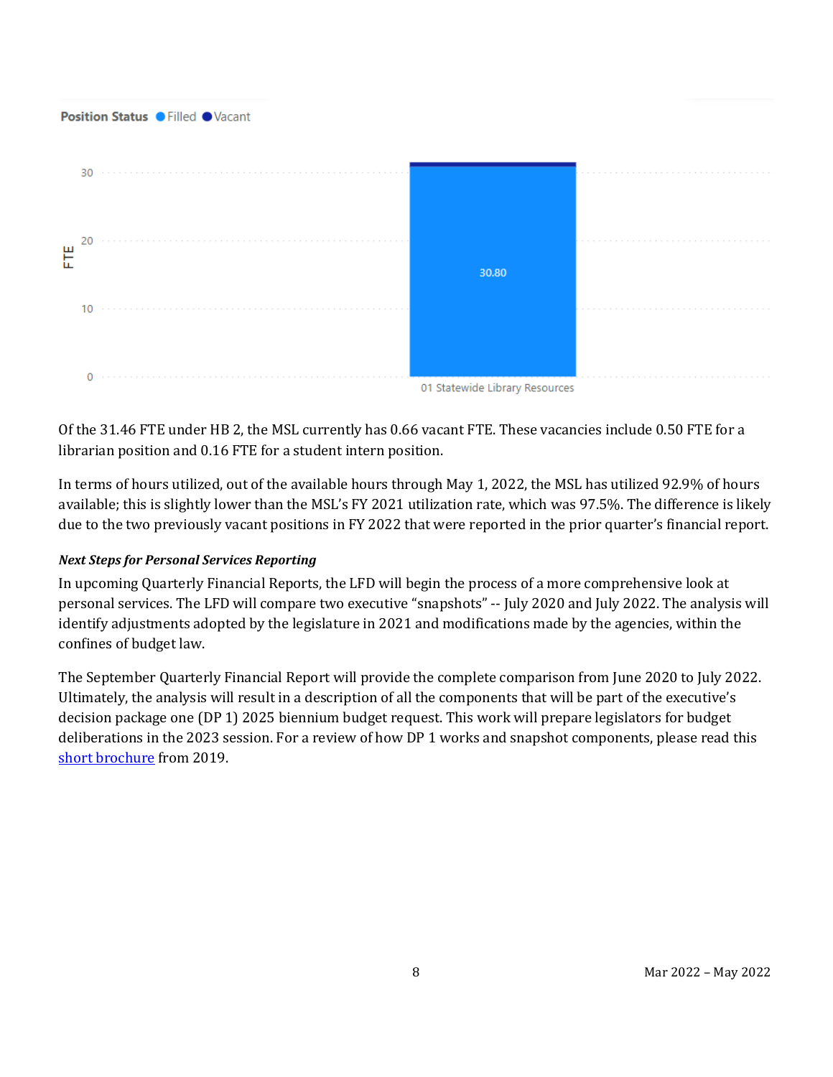#### Position Status . Filled . Vacant



Of the 31.46 FTE under HB 2, the MSL currently has 0.66 vacant FTE. These vacancies include 0.50 FTE for a librarian position and 0.16 FTE for a student intern position.

In terms of hours utilized, out of the available hours through May 1, 2022, the MSL has utilized 92.9% of hours available; this is slightly lower than the MSL's FY 2021 utilization rate, which was 97.5%. The difference is likely due to the two previously vacant positions in FY 2022 that were reported in the prior quarter's financial report.

#### *Next Steps for Personal Services Reporting*

In upcoming Quarterly Financial Reports, the LFD will begin the process of a more comprehensive look at personal services. The LFD will compare two executive "snapshots" -- July 2020 and July 2022. The analysis will identify adjustments adopted by the legislature in 2021 and modifications made by the agencies, within the confines of budget law.

The September Quarterly Financial Report will provide the complete comparison from June 2020 to July 2022. Ultimately, the analysis will result in a description of all the components that will be part of the executive's decision package one (DP 1) 2025 biennium budget request. This work will prepare legislators for budget deliberations in the 2023 session. For a review of how DP 1 works and snapshot components, please read this [short brochure](https://montana.maps.arcgis.com/apps/Cascade/index.html?appid=23095fcf15754f4fb38b63c58a884b97) from 2019.